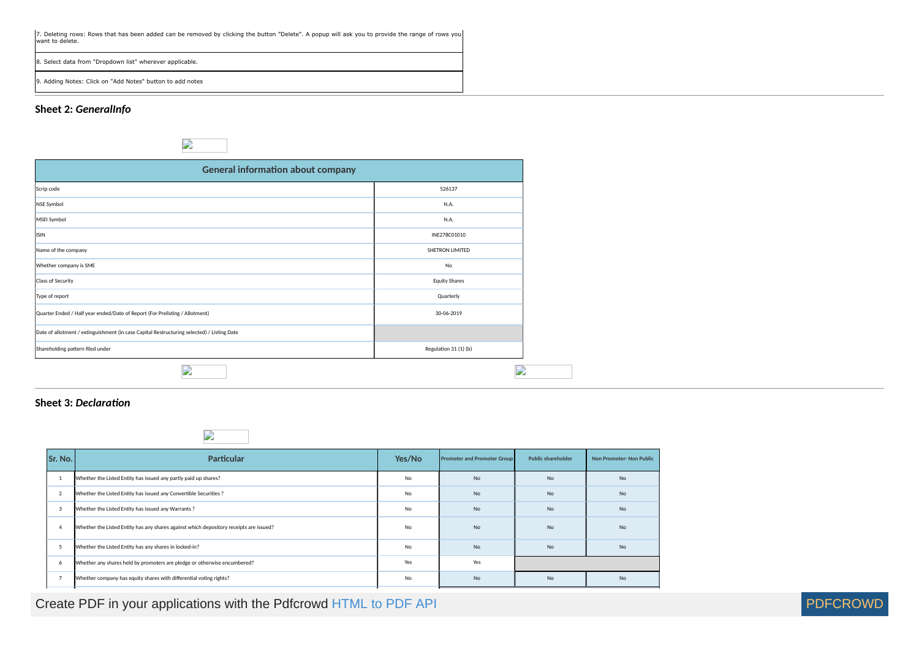### **Sheet 2:** *GeneralInfo*

## $\sum_{i=1}^{n}$

| <b>General information about company</b>                                                   |                       |
|--------------------------------------------------------------------------------------------|-----------------------|
| Scrip code                                                                                 | 526137                |
| NSE Symbol                                                                                 | N.A.                  |
| MSEI Symbol                                                                                | N.A.                  |
| <b>ISIN</b>                                                                                | INE278C01010          |
| Name of the company                                                                        | SHETRON LIMITED       |
| Whether company is SME                                                                     | No                    |
| Class of Security                                                                          | <b>Equity Shares</b>  |
| Type of report                                                                             | Quarterly             |
| Quarter Ended / Half year ended/Date of Report (For Prelisting / Allotment)                | 30-06-2019            |
| Date of allotment / extinguishment (in case Capital Restructuring selected) / Listing Date |                       |
| Shareholding pattern filed under                                                           | Regulation 31 (1) (b) |
| <b>P</b>                                                                                   | A                     |

## **Sheet 3: Declaration**



| Sr. No.        | <b>Particular</b>                                                                      | Yes/No | <b>Promoter and Promoter Group</b> | <b>Public shareholder</b> | <b>Non Promoter-Non Public</b> |
|----------------|----------------------------------------------------------------------------------------|--------|------------------------------------|---------------------------|--------------------------------|
| -1             | Whether the Listed Entity has issued any partly paid up shares?                        | No     | No                                 | <b>No</b>                 | <b>No</b>                      |
| $\overline{2}$ | Whether the Listed Entity has issued any Convertible Securities ?                      | No     | <b>No</b>                          | <b>No</b>                 | <b>No</b>                      |
| 3              | Whether the Listed Entity has issued any Warrants?                                     | No     | <b>No</b>                          | <b>No</b>                 | <b>No</b>                      |
| $\overline{4}$ | Whether the Listed Entity has any shares against which depository receipts are issued? | No     | <b>No</b>                          | <b>No</b>                 | <b>No</b>                      |
| 5              | Whether the Listed Entity has any shares in locked-in?                                 | No     | No                                 | <b>No</b>                 | <b>No</b>                      |
| 6              | Whether any shares held by promoters are pledge or otherwise encumbered?               | Yes    | Yes                                |                           |                                |
| $\overline{7}$ | Whether company has equity shares with differential voting rights?                     | No     | No                                 | <b>No</b>                 | <b>No</b>                      |

# Create PDF in your applications with the Pdfcrowd [HTML to PDF API](https://pdfcrowd.com/doc/api/?ref=pdf)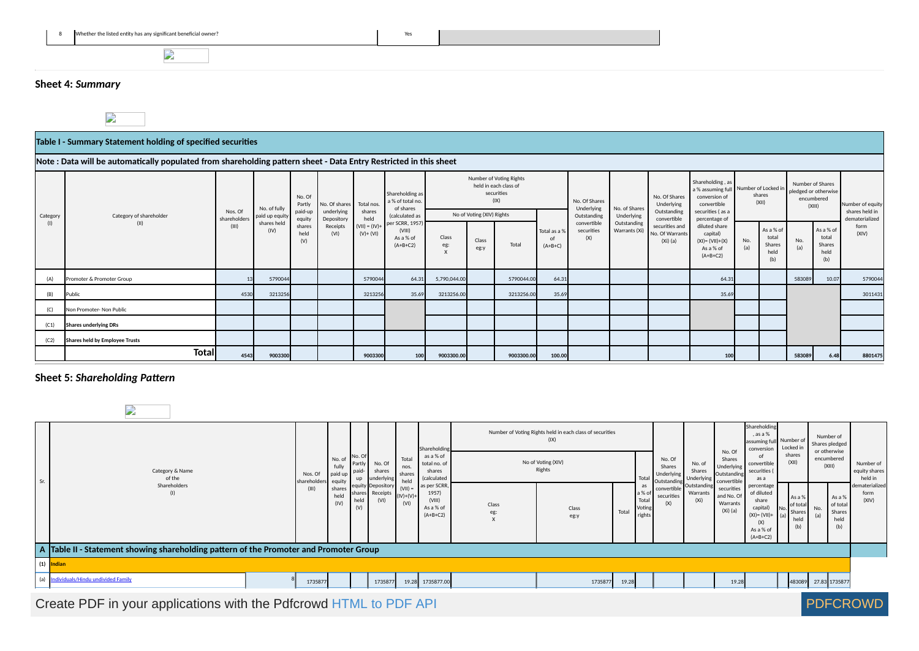

 $\mathbf{L}$ 

### **Sheet 4:** *Summary*

 $\overline{\phantom{a}}$ 

#### **Table I - Summary Statement holding of specified securities**

#### **Note : Data will be automatically populated from shareholding pattern sheet - Data Entry Restricted in this sheet**

| Category | Category of shareholder        | Nos. Of<br>shareholders | No. of fully<br>paid up equity | No. Of<br>Partly<br>paid-up<br>equity | No. Of shares<br>underlying<br>Depository | Total nos.<br>shares<br>held     | Shareholding as<br>a % of total no.<br>of shares<br>(calculated as |                   | No of Voting (XIV) Rights | Number of Voting Rights<br>held in each class of<br>securities<br>(IX) |                           | No. Of Shares<br>Underlying<br>Outstanding | No. of Shares<br>Underlying  |                                                 | No. Of Shares<br>Underlying<br>Outstanding                                 |            | convertible                          |            | Shareholding, as<br>conversion of<br>convertible<br>securities (as a<br>percentage of | a % assuming full Number of Locked in<br>shares<br>(XII) |  | Number of Shares<br>pledged or otherwise<br>encumbered<br>(XIII) |  | Number of equity<br>shares held in<br>dematerialized |
|----------|--------------------------------|-------------------------|--------------------------------|---------------------------------------|-------------------------------------------|----------------------------------|--------------------------------------------------------------------|-------------------|---------------------------|------------------------------------------------------------------------|---------------------------|--------------------------------------------|------------------------------|-------------------------------------------------|----------------------------------------------------------------------------|------------|--------------------------------------|------------|---------------------------------------------------------------------------------------|----------------------------------------------------------|--|------------------------------------------------------------------|--|------------------------------------------------------|
| (1)      | (II)                           | (III)                   | shares held<br>(IV)            | shares<br>held<br>(V)                 | Receipts<br>(VI)                          | $(VII) = (IV) +$<br>$(V)$ + (VI) | per SCRR, 1957)<br>(VIII)<br>As a % of<br>$(A+B+C2)$               | Class<br>eg:<br>X | Class<br>eg:y             | Total                                                                  | Total as a %<br>$(A+B+C)$ | convertible<br>securities<br>(X)           | Outstanding<br>Warrants (Xi) | securities and<br>No. Of Warrants<br>$(Xi)$ (a) | diluted share<br>capital)<br>$(XI) = (VII)+(X)$<br>As a % of<br>$(A+B+C2)$ | No.<br>(a) | As a % of<br>total<br>Shares<br>held | No.<br>(a) | As a % of<br>total<br>Shares<br>held<br>(b)                                           | form<br>(X V)                                            |  |                                                                  |  |                                                      |
| (A)      | Promoter & Promoter Group      | 13                      | 5790044                        |                                       |                                           | 5790044                          | 64.31                                                              | 5,790,044.00      |                           | 5790044.00                                                             | 64.31                     |                                            |                              |                                                 | 64.31                                                                      |            |                                      | 583089     | 10.07                                                                                 | 5790044                                                  |  |                                                                  |  |                                                      |
| (B)      | Public                         | 4530                    | 3213256                        |                                       |                                           | 3213256                          | 35.69                                                              | 3213256.00        |                           | 3213256.00                                                             | 35.69                     |                                            |                              |                                                 | 35.69                                                                      |            |                                      |            |                                                                                       | 3011431                                                  |  |                                                                  |  |                                                      |
| (C)      | Non Promoter- Non Public       |                         |                                |                                       |                                           |                                  |                                                                    |                   |                           |                                                                        |                           |                                            |                              |                                                 |                                                                            |            |                                      |            |                                                                                       |                                                          |  |                                                                  |  |                                                      |
| (C1)     | Shares underlying DRs          |                         |                                |                                       |                                           |                                  |                                                                    |                   |                           |                                                                        |                           |                                            |                              |                                                 |                                                                            |            |                                      |            |                                                                                       |                                                          |  |                                                                  |  |                                                      |
| (C2)     | Shares held by Employee Trusts |                         |                                |                                       |                                           |                                  |                                                                    |                   |                           |                                                                        |                           |                                            |                              |                                                 |                                                                            |            |                                      |            |                                                                                       |                                                          |  |                                                                  |  |                                                      |
|          | <b>Total</b>                   | 4543                    | 9003300                        |                                       |                                           | 9003300                          | 100                                                                | 9003300.00        |                           | 9003300.00                                                             | 100.00                    |                                            |                              |                                                 | 100                                                                        |            |                                      | 583089     | 6.48                                                                                  | 8801475                                                  |  |                                                                  |  |                                                      |

### **Sheet 5: Shareholding Pattern**

|     | <b>STAR</b>                                                                            |                                |                                |                               |                                       |                                 |                                                            |              |                                                                  |                                           |                                               |                                              |                                                    |                                                                                                     |                                         |                                                           |                                       |
|-----|----------------------------------------------------------------------------------------|--------------------------------|--------------------------------|-------------------------------|---------------------------------------|---------------------------------|------------------------------------------------------------|--------------|------------------------------------------------------------------|-------------------------------------------|-----------------------------------------------|----------------------------------------------|----------------------------------------------------|-----------------------------------------------------------------------------------------------------|-----------------------------------------|-----------------------------------------------------------|---------------------------------------|
|     |                                                                                        |                                |                                |                               |                                       |                                 | Shareholdin                                                |              | Number of Voting Rights held in each class of securities<br>(IX) |                                           |                                               |                                              | No.O                                               | Shareholding<br>$.$ as a $%$<br>lassuming full<br>conversion                                        | Number of<br>Locked in                  | Number of<br>Shares pledged<br>or otherwise               |                                       |
| Sr. | Category & Name<br>of the                                                              | Nos. Of<br>shareholders equity | $No.$ $O1$<br>fully<br>paid up | INo. O<br>Parth<br>paid<br>up | No. Of<br>shares<br>underlying        | Total<br>nos.<br>shares<br>held | as a % of<br>total no. of<br>shares<br>(calculated         |              | No of Voting (XIV)<br>Rights                                     |                                           | No. Of<br>Shares<br>Underlying<br>Outstanding | No. of<br>Shares<br>Underlying               | Shares<br>Underlying<br>Outstanding<br>convertible | convertible<br>securities (<br>as a                                                                 | shares<br>(X  )                         | encumbered<br>(X  )                                       | Number of<br>equity shares<br>held in |
|     | Shareholders<br>(1)                                                                    | (III)                          | shares<br>held<br>(IV)         | share:<br>held<br>(V)         | equity Depository<br>Receipts<br>(VI) | (VII)<br>$(IV)+(V)+$<br>(VI)    | as per SCRR,<br>1957)<br>(VIII)<br>As a % of<br>$(A+B+C2)$ | Class<br>eg: | Class<br>Total<br>eg:y                                           | as<br>a % of<br>Total<br>Voting<br>rights | convertible<br>securities<br>(X)              | Outstanding<br>Warrants<br>(X <sub>i</sub> ) | securities<br>and No. Of<br>Warrants<br>$(Xi)$ (a) | percentage<br>of diluted<br>share<br>capital)<br>$(XI) = (VII) +$<br>(X)<br>As a % of<br>$(A+B+C2)$ | Asa<br>of tota<br>No.<br>Shares<br>held | As a %<br>of total<br>No.<br>Shares<br>(a)<br>held<br>(b) | dematerialized<br>form<br>(XIV)       |
|     | A Table II - Statement showing shareholding pattern of the Promoter and Promoter Group |                                |                                |                               |                                       |                                 |                                                            |              |                                                                  |                                           |                                               |                                              |                                                    |                                                                                                     |                                         |                                                           |                                       |
|     | (1) Indian                                                                             |                                |                                |                               |                                       |                                 |                                                            |              |                                                                  |                                           |                                               |                                              |                                                    |                                                                                                     |                                         |                                                           |                                       |
| (a) | Individuals/Hindu undivided Family                                                     | 1735877                        |                                |                               | 1735877                               |                                 | 19.28 1735877.00                                           |              | 1735877<br>19.28                                                 |                                           |                                               |                                              | 19.28                                              |                                                                                                     |                                         | 483089 27.83 1735877                                      |                                       |

Create PDF in your applications with the Pdfcrowd [HTML to PDF API](https://pdfcrowd.com/doc/api/?ref=pdf) [PDFCROWD](https://pdfcrowd.com/?ref=pdf) Create PDF in your applications with the Pdfcrowd HTML to PDF API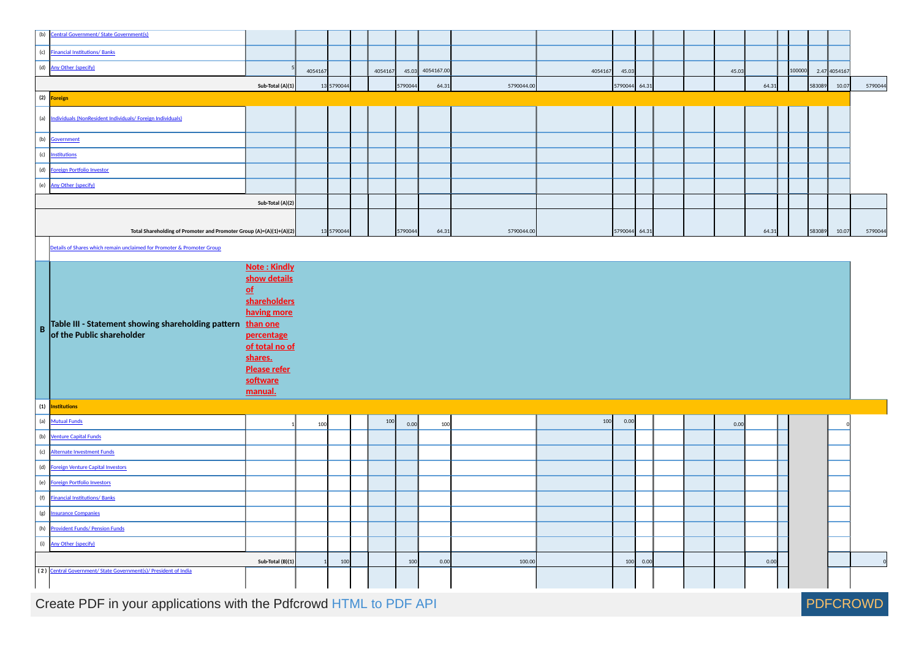|           | (b) Central Government/ State Government(s)                                              |                                                                                                                                    |         |            |         |         |            |            |         |               |          |  |       |       |        |        |              |         |
|-----------|------------------------------------------------------------------------------------------|------------------------------------------------------------------------------------------------------------------------------------|---------|------------|---------|---------|------------|------------|---------|---------------|----------|--|-------|-------|--------|--------|--------------|---------|
|           | (c) <b>Financial Institutions/ Banks</b>                                                 |                                                                                                                                    |         |            |         |         |            |            |         |               |          |  |       |       |        |        |              |         |
|           | (d) <u>Any Other (specify)</u>                                                           |                                                                                                                                    | 4054167 |            | 4054167 | 45.03   | 4054167.00 |            | 4054167 | 45.03         |          |  | 45.03 |       | 100000 |        | 2.47 4054167 |         |
|           |                                                                                          | Sub-Total (A)(1)                                                                                                                   |         | 13 5790044 |         | 5790044 | 64.31      | 5790044.00 |         | 5790044 64.31 |          |  |       | 64.31 |        | 583089 | 10.07        | 5790044 |
|           | (2) Foreign                                                                              |                                                                                                                                    |         |            |         |         |            |            |         |               |          |  |       |       |        |        |              |         |
|           | (a) Individuals (NonResident Individuals/ Foreign Individuals)                           |                                                                                                                                    |         |            |         |         |            |            |         |               |          |  |       |       |        |        |              |         |
|           | (b) <u>Government</u><br>(c) <u>Institutions</u>                                         |                                                                                                                                    |         |            |         |         |            |            |         |               |          |  |       |       |        |        |              |         |
|           |                                                                                          |                                                                                                                                    |         |            |         |         |            |            |         |               |          |  |       |       |        |        |              |         |
|           | (d) Foreign Portfolio Investor                                                           |                                                                                                                                    |         |            |         |         |            |            |         |               |          |  |       |       |        |        |              |         |
|           | (e) Any Other (specify)                                                                  |                                                                                                                                    |         |            |         |         |            |            |         |               |          |  |       |       |        |        |              |         |
|           |                                                                                          | Sub-Total (A)(2)                                                                                                                   |         |            |         |         |            |            |         |               |          |  |       |       |        |        |              |         |
|           |                                                                                          |                                                                                                                                    |         |            |         |         |            |            |         |               |          |  |       |       |        |        |              |         |
|           | Total Shareholding of Promoter and Promoter Group (A)=(A)(1)+(A)(2)                      |                                                                                                                                    |         | 13 5790044 |         | 5790044 | 64.31      | 5790044.00 |         | 5790044 64.31 |          |  |       | 64.31 |        | 583089 | 10.07        | 5790044 |
|           | Details of Shares which remain unclaimed for Promoter & Promoter Group                   |                                                                                                                                    |         |            |         |         |            |            |         |               |          |  |       |       |        |        |              |         |
|           |                                                                                          | Note: Kindly                                                                                                                       |         |            |         |         |            |            |         |               |          |  |       |       |        |        |              |         |
|           | Table III - Statement showing shareholding pattern than one<br>of the Public shareholder | show details<br>p<br>shareholders<br>having more<br>percentage<br>of total no of<br>shares.<br>Please refer<br>software<br>manual. |         |            |         |         |            |            |         |               |          |  |       |       |        |        |              |         |
|           | $(1)$ Institutions                                                                       |                                                                                                                                    |         |            |         |         |            |            |         |               |          |  |       |       |        |        |              |         |
|           | (a) Mutual Funds                                                                         |                                                                                                                                    | 100     |            | 100     | 0.00    | 100        |            | 100     | 0.00          |          |  | 0.00  |       |        |        |              |         |
|           | (b) Venture Capital Funds                                                                |                                                                                                                                    |         |            |         |         |            |            |         |               |          |  |       |       |        |        |              |         |
|           | (c) Alternate Investment Funds                                                           |                                                                                                                                    |         |            |         |         |            |            |         |               |          |  |       |       |        |        |              |         |
|           | (d) Foreign Venture Capital Investors                                                    |                                                                                                                                    |         |            |         |         |            |            |         |               |          |  |       |       |        |        |              |         |
|           | (e) Foreign Portfolio Investors                                                          |                                                                                                                                    |         |            |         |         |            |            |         |               |          |  |       |       |        |        |              |         |
|           |                                                                                          |                                                                                                                                    |         |            |         |         |            |            |         |               |          |  |       |       |        |        |              |         |
|           | (f) Financial Institutions/Banks<br>(g) Insurance Companies                              |                                                                                                                                    |         |            |         |         |            |            |         |               |          |  |       |       |        |        |              |         |
|           | (h) Provident Funds/ Pension Funds                                                       |                                                                                                                                    |         |            |         |         |            |            |         |               |          |  |       |       |        |        |              |         |
| $\vert$ B | (i) Any Other (specify)                                                                  |                                                                                                                                    |         |            |         |         |            |            |         |               |          |  |       |       |        |        |              |         |
|           | (2) Central Government/ State Government(s)/ President of India                          | Sub-Total (B)(1)                                                                                                                   |         | 100        |         | 100     | 0.00       | 100.00     |         |               | 100 0.00 |  |       | 0.00  |        |        |              | 0       |

Create PDF in your applications with the Pdfcrowd [HTML to PDF API](https://pdfcrowd.com/doc/api/?ref=pdf) [PDFCROWD](https://pdfcrowd.com/?ref=pdf) Create PDF API PDFCROWD